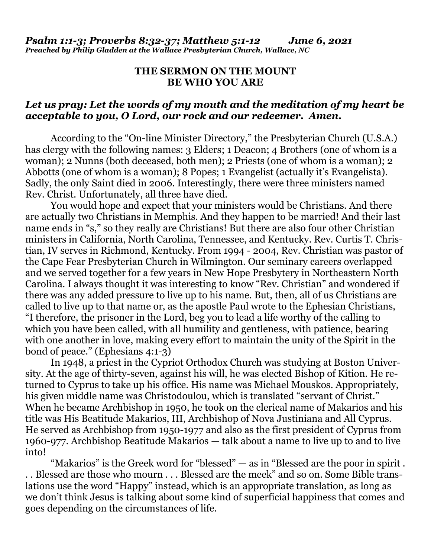### **THE SERMON ON THE MOUNT BE WHO YOU ARE**

## *Let us pray: Let the words of my mouth and the meditation of my heart be acceptable to you, O Lord, our rock and our redeemer. Amen.*

According to the "On-line Minister Directory," the Presbyterian Church (U.S.A.) has clergy with the following names: 3 Elders; 1 Deacon; 4 Brothers (one of whom is a woman); 2 Nunns (both deceased, both men); 2 Priests (one of whom is a woman); 2 Abbotts (one of whom is a woman); 8 Popes; 1 Evangelist (actually it's Evangelista). Sadly, the only Saint died in 2006. Interestingly, there were three ministers named Rev. Christ. Unfortunately, all three have died.

 You would hope and expect that your ministers would be Christians. And there are actually two Christians in Memphis. And they happen to be married! And their last name ends in "s," so they really are Christians! But there are also four other Christian ministers in California, North Carolina, Tennessee, and Kentucky. Rev. Curtis T. Christian, IV serves in Richmond, Kentucky. From 1994 - 2004, Rev. Christian was pastor of the Cape Fear Presbyterian Church in Wilmington. Our seminary careers overlapped and we served together for a few years in New Hope Presbytery in Northeastern North Carolina. I always thought it was interesting to know "Rev. Christian" and wondered if there was any added pressure to live up to his name. But, then, all of us Christians are called to live up to that name or, as the apostle Paul wrote to the Ephesian Christians, "I therefore, the prisoner in the Lord, beg you to lead a life worthy of the calling to which you have been called, with all humility and gentleness, with patience, bearing with one another in love, making every effort to maintain the unity of the Spirit in the bond of peace." (Ephesians 4:1-3)

 In 1948, a priest in the Cypriot Orthodox Church was studying at Boston University. At the age of thirty-seven, against his will, he was elected Bishop of Kition. He returned to Cyprus to take up his office. His name was Michael Mouskos. Appropriately, his given middle name was Christodoulou, which is translated "servant of Christ." When he became Archbishop in 1950, he took on the clerical name of Makarios and his title was His Beatitude Makarios, III, Archbishop of Nova Justiniana and All Cyprus. He served as Archbishop from 1950-1977 and also as the first president of Cyprus from 1960-977. Archbishop Beatitude Makarios — talk about a name to live up to and to live into!

 "Makarios" is the Greek word for "blessed" — as in "Blessed are the poor in spirit . . . Blessed are those who mourn . . . Blessed are the meek" and so on. Some Bible translations use the word "Happy" instead, which is an appropriate translation, as long as we don't think Jesus is talking about some kind of superficial happiness that comes and goes depending on the circumstances of life.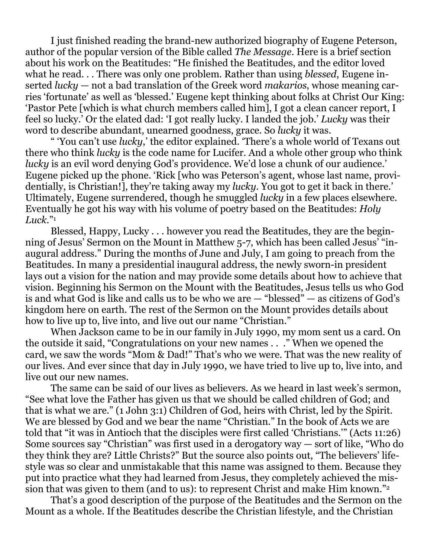I just finished reading the brand-new authorized biography of Eugene Peterson, author of the popular version of the Bible called *The Message*. Here is a brief section about his work on the Beatitudes: "He finished the Beatitudes, and the editor loved what he read. . . There was only one problem. Rather than using *blessed*, Eugene inserted *lucky* — not a bad translation of the Greek word *makarios*, whose meaning carries 'fortunate' as well as 'blessed.' Eugene kept thinking about folks at Christ Our King: 'Pastor Pete [which is what church members called him], I got a clean cancer report, I feel so lucky.' Or the elated dad: 'I got really lucky. I landed the job.' *Lucky* was their word to describe abundant, unearned goodness, grace. So *lucky* it was.

 " 'You can't use *lucky*,' the editor explained. 'There's a whole world of Texans out there who think *lucky* is the code name for Lucifer. And a whole other group who think *lucky* is an evil word denying God's providence. We'd lose a chunk of our audience.' Eugene picked up the phone. 'Rick [who was Peterson's agent, whose last name, providentially, is Christian!], they're taking away my *lucky*. You got to get it back in there.' Ultimately, Eugene surrendered, though he smuggled *lucky* in a few places elsewhere. Eventually he got his way with his volume of poetry based on the Beatitudes: *Holy Luck*."<sup>1</sup>

 Blessed, Happy, Lucky . . . however you read the Beatitudes, they are the beginning of Jesus' Sermon on the Mount in Matthew 5-7, which has been called Jesus' "inaugural address." During the months of June and July, I am going to preach from the Beatitudes. In many a presidential inaugural address, the newly sworn-in president lays out a vision for the nation and may provide some details about how to achieve that vision. Beginning his Sermon on the Mount with the Beatitudes, Jesus tells us who God is and what God is like and calls us to be who we are — "blessed" — as citizens of God's kingdom here on earth. The rest of the Sermon on the Mount provides details about how to live up to, live into, and live out our name "Christian."

 When Jackson came to be in our family in July 1990, my mom sent us a card. On the outside it said, "Congratulations on your new names . . ." When we opened the card, we saw the words "Mom & Dad!" That's who we were. That was the new reality of our lives. And ever since that day in July 1990, we have tried to live up to, live into, and live out our new names.

 The same can be said of our lives as believers. As we heard in last week's sermon, "See what love the Father has given us that we should be called children of God; and that is what we are." (1 John 3:1) Children of God, heirs with Christ, led by the Spirit. We are blessed by God and we bear the name "Christian." In the book of Acts we are told that "it was in Antioch that the disciples were first called 'Christians.'" (Acts 11:26) Some sources say "Christian" was first used in a derogatory way — sort of like, "Who do they think they are? Little Christs?" But the source also points out, "The believers' lifestyle was so clear and unmistakable that this name was assigned to them. Because they put into practice what they had learned from Jesus, they completely achieved the mission that was given to them (and to us): to represent Christ and make Him known."<sup>2</sup>

 That's a good description of the purpose of the Beatitudes and the Sermon on the Mount as a whole. If the Beatitudes describe the Christian lifestyle, and the Christian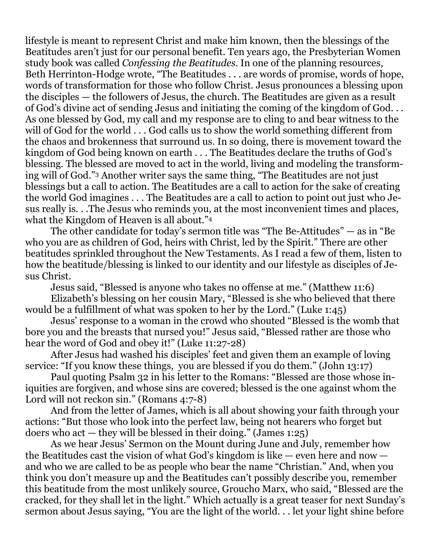lifestyle is meant to represent Christ and make him known, then the blessings of the Beatitudes aren't just for our personal benefit. Ten years ago, the Presbyterian Women study book was called *Confessing the Beatitudes*. In one of the planning resources, Beth Herrinton-Hodge wrote, "The Beatitudes . . . are words of promise, words of hope, words of transformation for those who follow Christ. Jesus pronounces a blessing upon the disciples — the followers of Jesus, the church. The Beatitudes are given as a result of God's divine act of sending Jesus and initiating the coming of the kingdom of God. . . As one blessed by God, my call and my response are to cling to and bear witness to the will of God for the world . . . God calls us to show the world something different from the chaos and brokenness that surround us. In so doing, there is movement toward the kingdom of God being known on earth . . . The Beatitudes declare the truths of God's blessing. The blessed are moved to act in the world, living and modeling the transforming will of God."3 Another writer says the same thing, "The Beatitudes are not just blessings but a call to action. The Beatitudes are a call to action for the sake of creating the world God imagines . . . The Beatitudes are a call to action to point out just who Jesus really is. . .The Jesus who reminds you, at the most inconvenient times and places, what the Kingdom of Heaven is all about."<sup>4</sup>

 The other candidate for today's sermon title was "The Be-Attitudes" — as in "Be who you are as children of God, heirs with Christ, led by the Spirit." There are other beatitudes sprinkled throughout the New Testaments. As I read a few of them, listen to how the beatitude/blessing is linked to our identity and our lifestyle as disciples of Jesus Christ.

Jesus said, "Blessed is anyone who takes no offense at me." (Matthew 11:6)

 Elizabeth's blessing on her cousin Mary, "Blessed is she who believed that there would be a fulfillment of what was spoken to her by the Lord." (Luke 1:45)

 Jesus' response to a woman in the crowd who shouted "Blessed is the womb that bore you and the breasts that nursed you!" Jesus said, "Blessed rather are those who hear the word of God and obey it!" (Luke 11:27-28)

 After Jesus had washed his disciples' feet and given them an example of loving service: "If you know these things, you are blessed if you do them." (John 13:17)

 Paul quoting Psalm 32 in his letter to the Romans: "Blessed are those whose iniquities are forgiven, and whose sins are covered; blessed is the one against whom the Lord will not reckon sin." (Romans 4:7-8)

 And from the letter of James, which is all about showing your faith through your actions: "But those who look into the perfect law, being not hearers who forget but doers who act  $-$  they will be blessed in their doing." (James 1:25)

 As we hear Jesus' Sermon on the Mount during June and July, remember how the Beatitudes cast the vision of what God's kingdom is like — even here and now and who we are called to be as people who bear the name "Christian." And, when you think you don't measure up and the Beatitudes can't possibly describe you, remember this beatitude from the most unlikely source, Groucho Marx, who said, "Blessed are the cracked, for they shall let in the light." Which actually is a great teaser for next Sunday's sermon about Jesus saying, "You are the light of the world. . . let your light shine before